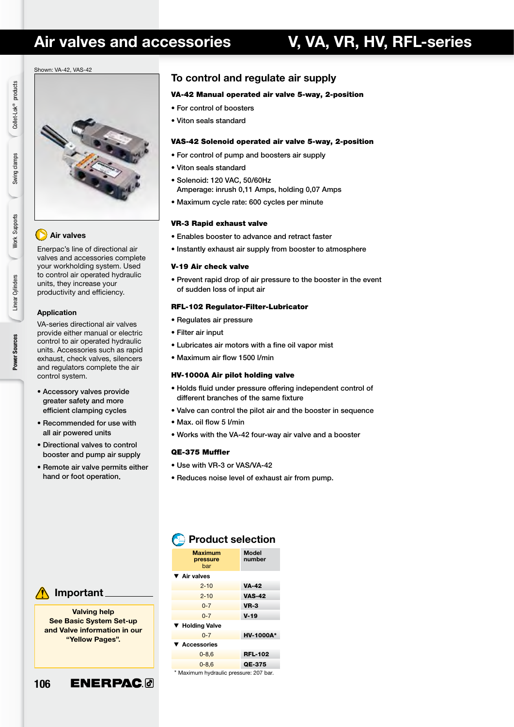## Air valves and accessories **V, VA, VR, HV, RFL-series**

#### Shown: VA-42, VAS-42



#### Air valves

Enerpac's line of directional air valves and accessories complete your workholding system. Used to control air operated hydraulic units, they increase your productivity and efficiency.

#### Application

VA-series directional air valves provide either manual or electric control to air operated hydraulic units. Accessories such as rapid exhaust, check valves, silencers and regulators complete the air control system.

- Accessory valves provide greater safety and more efficient clamping cycles
- Recommended for use with all air powered units
- Directional valves to control booster and pump air supply
- Remote air valve permits either hand or foot operation.

### To control and regulate air supply

#### VA-42 Manual operated air valve 5-way, 2-position

- For control of boosters
- Viton seals standard

#### VAS-42 Solenoid operated air valve 5-way, 2-position

- For control of pump and boosters air supply
- Viton seals standard
- Solenoid: 120 VAC, 50/60Hz
- Amperage: inrush 0,11 Amps, holding 0,07 Amps
- Maximum cycle rate: 600 cycles per minute

#### VR-3 Rapid exhaust valve

- Enables booster to advance and retract faster
- Instantly exhaust air supply from booster to atmosphere

#### V-19 Air check valve

• Prevent rapid drop of air pressure to the booster in the event of sudden loss of input air

#### RFL-102 Regulator-Filter-Lubricator

- Regulates air pressure
- Filter air input
- Lubricates air motors with a fine oil vapor mist
- Maximum air flow 1500 l/min

#### HV-1000A Air pilot holding valve

- Holds fluid under pressure offering independent control of different branches of the same fixture
- Valve can control the pilot air and the booster in sequence
- Max. oil flow 5 l/min
- Works with the VA-42 four-way air valve and a booster

#### QE-375 Muffler

- Use with VR-3 or VAS/VA-42
- Reduces noise level of exhaust air from pump.



Valving help See Basic System Set-up and Valve information in our "Yellow Pages".



#### **Maximum** Model<br>pressure number pressure bar ▼ Air valves

**Product selection** 

| ▼ Air valves    |                  |
|-----------------|------------------|
| $2 - 10$        | <b>VA-42</b>     |
| $2 - 10$        | <b>VAS-42</b>    |
| $0 - 7$         | $VR-3$           |
| $0 - 7$         | $V-19$           |
| ▼ Holding Valve |                  |
| $0 - 7$         | <b>HV-1000A*</b> |
| ▼ Accessories   |                  |
| $0 - 8, 6$      | <b>RFL-102</b>   |
| $0 - 8.6$       | QE-375           |
|                 |                  |

\* Maximum hydraulic pressure: 207 bar.

Linear Cylinders Linear Cylinders Power Sources Power Sources